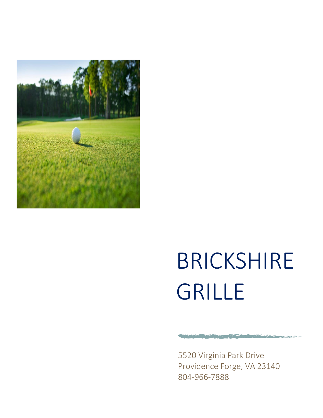

# BRICKSHIRE GRILLE

5520 Virginia Park Drive Providence Forge, VA 23140 804-966-7888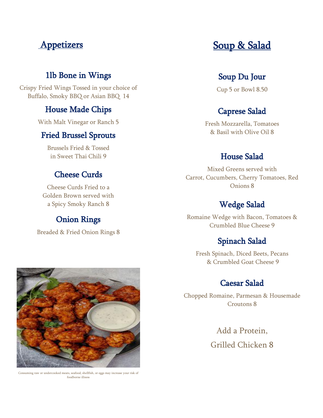# **Appetizers**

# 1lb Bone in Wings

Crispy Fried Wings Tossed in your choice of Buffalo, Smoky BBQ or Asian BBQ 14

#### House Made Chips

With Malt Vinegar or Ranch 5

#### Fried Brussel Sprouts

Brussels Fried & Tossed in Sweet Thai Chili 9

#### Cheese Curds

Cheese Curds Fried to a Golden Brown served with a Spicy Smoky Ranch 8

# Onion Rings

Breaded & Fried Onion Rings 8



Consuming raw or undercooked meats, seafood, shellfish, or eggs may increase your risk of foodborne illness

# Soup & Salad

# Soup Du Jour

Cup 5 or Bowl 8.50

## Caprese Salad

Fresh Mozzarella, Tomatoes & Basil with Olive Oil 8

# House Salad

Mixed Greens served with Carrot, Cucumbers, Cherry Tomatoes, Red Onions 8

# Wedge Salad

Romaine Wedge with Bacon, Tomatoes & Crumbled Blue Cheese 9

## Spinach Salad

Fresh Spinach, Diced Beets, Pecans & Crumbled Goat Cheese 9

#### Caesar Salad

Chopped Romaine, Parmesan & Housemade Croutons 8

> Add a Protein, Grilled Chicken 8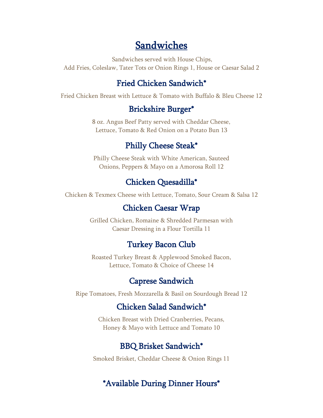# Sandwiches

Sandwiches served with House Chips, Add Fries, Coleslaw, Tater Tots or Onion Rings 1, House or Caesar Salad 2

# Fried Chicken Sandwich\*

Fried Chicken Breast with Lettuce & Tomato with Buffalo & Bleu Cheese 12

#### Brickshire Burger\*

8 oz. Angus Beef Patty served with Cheddar Cheese, Lettuce, Tomato & Red Onion on a Potato Bun 13

## Philly Cheese Steak\*

Philly Cheese Steak with White American, Sauteed Onions, Peppers & Mayo on a Amorosa Roll 12

## Chicken Quesadilla\*

Chicken & Texmex Cheese with Lettuce, Tomato, Sour Cream & Salsa 12

#### Chicken Caesar Wrap

Grilled Chicken, Romaine & Shredded Parmesan with Caesar Dressing in a Flour Tortilla 11

#### Turkey Bacon Club

Roasted Turkey Breast & Applewood Smoked Bacon, Lettuce, Tomato & Choice of Cheese 14

#### Caprese Sandwich

Ripe Tomatoes, Fresh Mozzarella & Basil on Sourdough Bread 12

# Chicken Salad Sandwich\*

Chicken Breast with Dried Cranberries, Pecans, Honey & Mayo with Lettuce and Tomato 10

#### BBQ Brisket Sandwich\*

Smoked Brisket, Cheddar Cheese & Onion Rings 11

## \*Available During Dinner Hours\*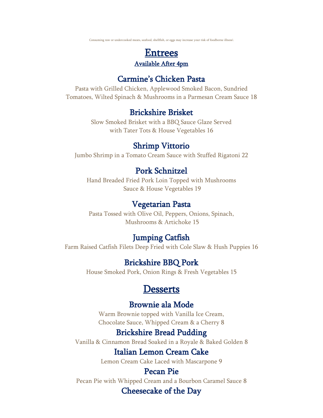Consuming raw or undercooked meats, seafood, shellfish, or eggs may increase your risk of foodborne illness\

# Entrees Available After 4pm

#### Carmine's Chicken Pasta

Pasta with Grilled Chicken, Applewood Smoked Bacon, Sundried Tomatoes, Wilted Spinach & Mushrooms in a Parmesan Cream Sauce 18

#### Brickshire Brisket

Slow Smoked Brisket with a BBQ Sauce Glaze Served with Tater Tots & House Vegetables 16

# Shrimp Vittorio

Jumbo Shrimp in a Tomato Cream Sauce with Stuffed Rigatoni 22

# Pork Schnitzel

Hand Breaded Fried Pork Loin Topped with Mushrooms Sauce & House Vegetables 19

# Vegetarian Pasta

Pasta Tossed with Olive Oil, Peppers, Onions, Spinach, Mushrooms & Artichoke 15

# Jumping Catfish

Farm Raised Catfish Filets Deep Fried with Cole Slaw & Hush Puppies 16

# Brickshire BBQ Pork

House Smoked Pork, Onion Rings & Fresh Vegetables 15

# **Desserts**

## Brownie ala Mode

Warm Brownie topped with Vanilla Ice Cream, Chocolate Sauce, Whipped Cream & a Cherry 8

# Brickshire Bread Pudding

Vanilla & Cinnamon Bread Soaked in a Royale & Baked Golden 8

# Italian Lemon Cream Cake

Lemon Cream Cake Laced with Mascarpone 9

## Pecan Pie

Pecan Pie with Whipped Cream and a Bourbon Caramel Sauce 8

# Cheesecake of the Day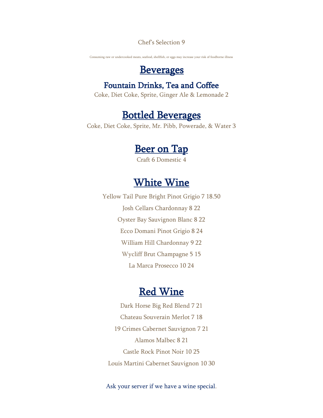Chef's Selection 9

Consuming raw or undercooked meats, seafood, shellfish, or eggs may increase your risk of foodborne illness

# **Beverages**

# Fountain Drinks, Tea and Coffee

Coke, Diet Coke, Sprite, Ginger Ale & Lemonade 2

# Bottled Beverages

Coke, Diet Coke, Sprite, Mr. Pibb, Powerade, & Water 3

# **Beer on Tap**

Craft 6 Domestic 4

# White Wine

Yellow Tail Pure Bright Pinot Grigio 7 18.50 Josh Cellars Chardonnay 8 22 Oyster Bay Sauvignon Blanc 8 22 Ecco Domani Pinot Grigio 8 24 William Hill Chardonnay 9 22 Wycliff Brut Champagne 5 15 La Marca Prosecco 10 24

# Red Wine

Dark Horse Big Red Blend 7 21 Chateau Souverain Merlot 7 18 19 Crimes Cabernet Sauvignon 7 21 Alamos Malbec 8 21 Castle Rock Pinot Noir 10 25 Louis Martini Cabernet Sauvignon 10 30

Ask your server if we have a wine special.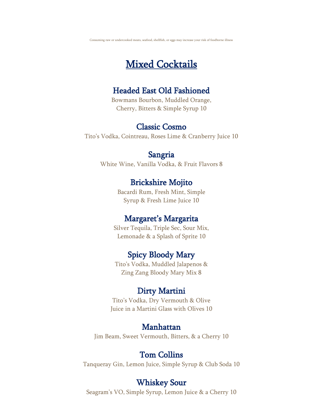Consuming raw or undercooked meats, seafood, shellfish, or eggs may increase your risk of foodborne illness

# Mixed Cocktails

#### Headed East Old Fashioned

Bowmans Bourbon, Muddled Orange, Cherry, Bitters & Simple Syrup 10

#### Classic Cosmo

Tito's Vodka, Cointreau, Roses Lime & Cranberry Juice 10

#### Sangria

White Wine, Vanilla Vodka, & Fruit Flavors 8

# Brickshire Mojito

Bacardi Rum, Fresh Mint, Simple Syrup & Fresh Lime Juice 10

## Margaret's Margarita

Silver Tequila, Triple Sec, Sour Mix, Lemonade & a Splash of Sprite 10

# Spicy Bloody Mary

Tito's Vodka, Muddled Jalapenos & Zing Zang Bloody Mary Mix 8

## Dirty Martini

Tito's Vodka, Dry Vermouth & Olive Juice in a Martini Glass with Olives 10

#### Manhattan

Jim Beam, Sweet Vermouth, Bitters, & a Cherry 10

## Tom Collins

Tanqueray Gin, Lemon Juice, Simple Syrup & Club Soda 10

#### Whiskey Sour

Seagram's VO, Simple Syrup, Lemon Juice & a Cherry 10